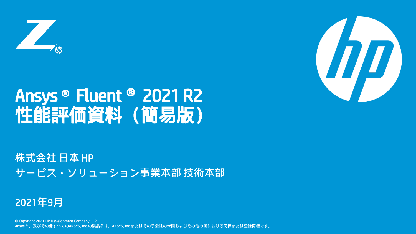

## Ansys®Fluent® 2021 R2 性能評価資料(簡易版)

株式会社 日本 HP サービス・ソリューション事業本部 技術本部

### 2021年9月

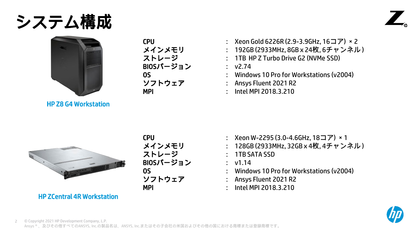### システム構成





HP Z8 G4 Workstation

BIOSバージョン : v2.74

- CPU : Xeon Gold 6226R (2.9-3.9GHz, 16コア) ×2
- メインメモリ : 192GB (2933MHz, 8GB x 24枚, 6チャンネル )
- ストレージ : 1TB HP Z Turbo Drive G2 (NVMe SSD)

- OS : Windows 10 Pro for Workstations (v2004)
- ソフトウェア : Ansys Fluent 2021 R2
- MPI : Intel MPI 2018.3.210



ストレージ : 1TB SATA SSD BIOSバージョン : v1.14

- CPU : Xeon W-2295 (3.0-4.6GHz, 18コア) ×1
- メインメモリ : 128GB (2933MHz, 32GB x 4枚, 4チャンネル )
	-
	-
- OS : Windows 10 Pro for Workstations (v2004)
- ソフトウェア : Ansys Fluent 2021 R2
- MPI : Intel MPI 2018.3.210



HP ZCentral 4R Workstation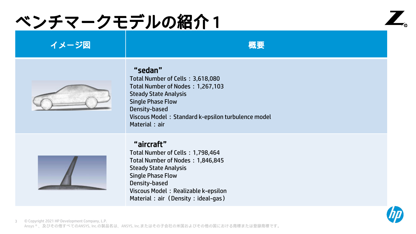## ベンチマークモデルの紹介 1



#### イメージ図 しょうしん しゅうしょう しゅうしょう 概要



#### "sedan"

Total Number of Cells:3,618,080 Total Number of Nodes:1,267,103 Steady State Analysis Single Phase Flow Density-based Viscous Model: Standard k-epsilon turbulence model Material: air

#### "aircraft"

Total Number of Cells:1,798,464 Total Number of Nodes:1,846,845 Steady State Analysis Single Phase Flow Density-based Viscous Model: Realizable k-epsilon Material: air (Density: ideal-gas)



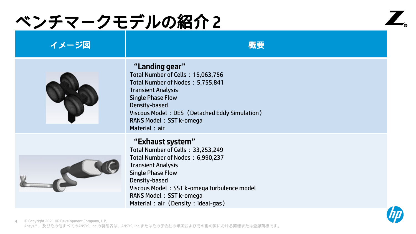# ベンチマークモデルの紹介 2



### イメージ図 しょうしん しゅうしょう しゅうしょう 概要

#### "Landing gear"

Total Number of Cells:15,063,756 Total Number of Nodes:5,755,841 Transient Analysis Single Phase Flow Density-based Viscous Model: DES (Detached Eddy Simulation) RANS Model: SST k-omega Material: air

#### "Exhaust system"

Total Number of Cells:33,253,249 Total Number of Nodes:6,990,237 Transient Analysis Single Phase Flow Density-based Viscous Model: SST k-omega turbulence model RANS Model: SST k-omega Material: air (Density: ideal-gas)



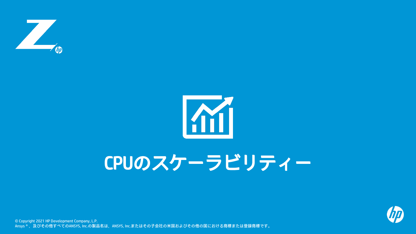



# CPUのスケーラビリティー

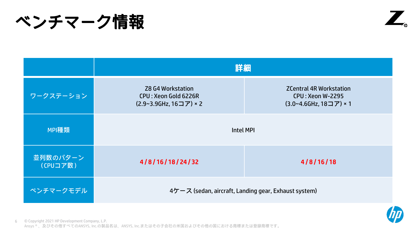ベンチマーク情報



|                      | 詳細                                                                           |                                                                                     |
|----------------------|------------------------------------------------------------------------------|-------------------------------------------------------------------------------------|
| ワークステーション            | <b>Z8 G4 Workstation</b><br>CPU: Xeon Gold 6226R<br>(2.9~3.9GHz, 16コア) × 2   | <b>ZCentral 4R Workstation</b><br><b>CPU: Xeon W-2295</b><br>(3.0~4.6GHz, 18コア) × 1 |
| MPI種類                | Intel MPI                                                                    |                                                                                     |
| 並列数のパターン<br>(CPUコア数) | 4/8/16/18/24/32                                                              | 4/8/16/18                                                                           |
| ベンチマークモデル            | $4\mathcal{L} - \mathcal{R}$ (sedan, aircraft, Landing gear, Exhaust system) |                                                                                     |

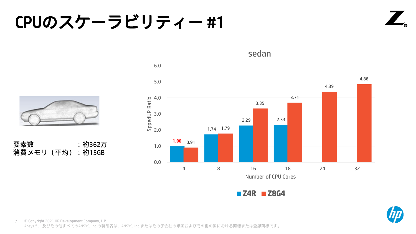### CPUのスケーラビリティー #1





sedan



要素数 : 約362万 消費メモリ (平均):約15GB

**Z4R Z8G4**

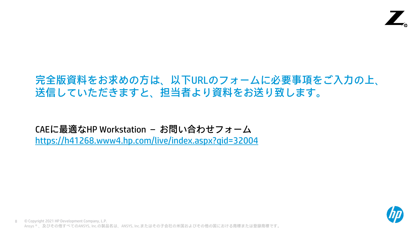### 完全版資料をお求めの方は、以下URLのフォームに必要事項をご入力の上、 送信していただきますと、担当者より資料をお送り致します。

CAEに最適なHP Workstation – お問い合わせフォーム https://h41268.www4.hp.com/live/index.aspx?qid=32004